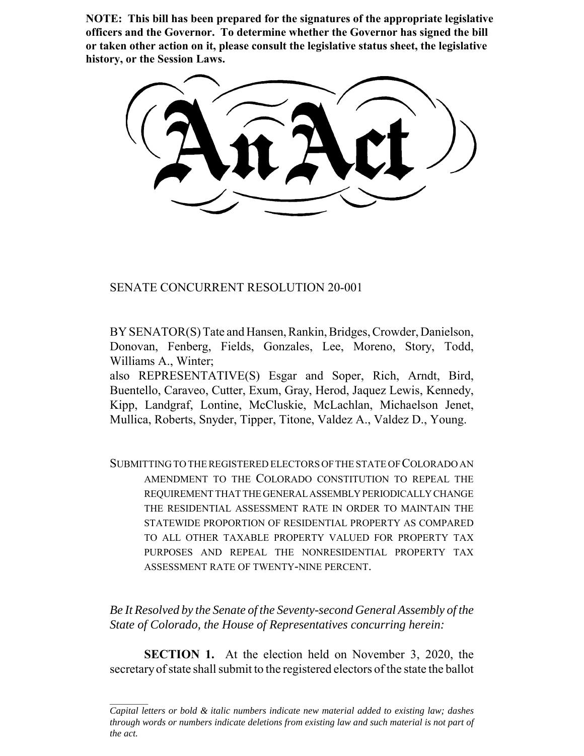**NOTE: This bill has been prepared for the signatures of the appropriate legislative officers and the Governor. To determine whether the Governor has signed the bill or taken other action on it, please consult the legislative status sheet, the legislative history, or the Session Laws.**

SENATE CONCURRENT RESOLUTION 20-001

BY SENATOR(S) Tate and Hansen, Rankin, Bridges, Crowder, Danielson, Donovan, Fenberg, Fields, Gonzales, Lee, Moreno, Story, Todd, Williams A., Winter;

also REPRESENTATIVE(S) Esgar and Soper, Rich, Arndt, Bird, Buentello, Caraveo, Cutter, Exum, Gray, Herod, Jaquez Lewis, Kennedy, Kipp, Landgraf, Lontine, McCluskie, McLachlan, Michaelson Jenet, Mullica, Roberts, Snyder, Tipper, Titone, Valdez A., Valdez D., Young.

SUBMITTING TO THE REGISTERED ELECTORS OF THE STATE OF COLORADO AN AMENDMENT TO THE COLORADO CONSTITUTION TO REPEAL THE REQUIREMENT THAT THE GENERAL ASSEMBLY PERIODICALLY CHANGE THE RESIDENTIAL ASSESSMENT RATE IN ORDER TO MAINTAIN THE STATEWIDE PROPORTION OF RESIDENTIAL PROPERTY AS COMPARED TO ALL OTHER TAXABLE PROPERTY VALUED FOR PROPERTY TAX PURPOSES AND REPEAL THE NONRESIDENTIAL PROPERTY TAX ASSESSMENT RATE OF TWENTY-NINE PERCENT.

*Be It Resolved by the Senate of the Seventy-second General Assembly of the State of Colorado, the House of Representatives concurring herein:*

**SECTION 1.** At the election held on November 3, 2020, the secretary of state shall submit to the registered electors of the state the ballot

*Capital letters or bold & italic numbers indicate new material added to existing law; dashes through words or numbers indicate deletions from existing law and such material is not part of the act.*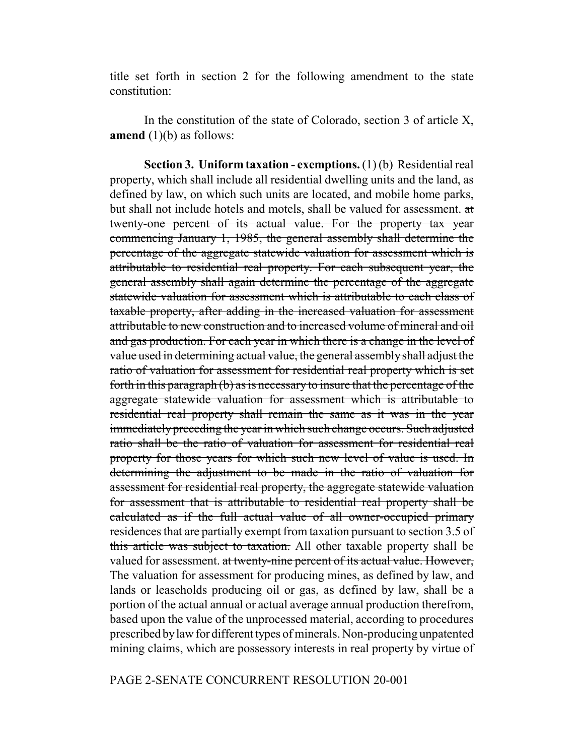title set forth in section 2 for the following amendment to the state constitution:

In the constitution of the state of Colorado, section 3 of article X, **amend** (1)(b) as follows:

**Section 3. Uniform taxation - exemptions.** (1) (b) Residential real property, which shall include all residential dwelling units and the land, as defined by law, on which such units are located, and mobile home parks, but shall not include hotels and motels, shall be valued for assessment. at twenty-one percent of its actual value. For the property tax year commencing January 1, 1985, the general assembly shall determine the percentage of the aggregate statewide valuation for assessment which is attributable to residential real property. For each subsequent year, the general assembly shall again determine the percentage of the aggregate statewide valuation for assessment which is attributable to each class of taxable property, after adding in the increased valuation for assessment attributable to new construction and to increased volume of mineral and oil and gas production. For each year in which there is a change in the level of value used in determining actual value, the general assembly shall adjust the ratio of valuation for assessment for residential real property which is set forth in this paragraph (b) as is necessary to insure that the percentage of the aggregate statewide valuation for assessment which is attributable to residential real property shall remain the same as it was in the year immediately preceding the year in which such change occurs. Such adjusted ratio shall be the ratio of valuation for assessment for residential real property for those years for which such new level of value is used. In determining the adjustment to be made in the ratio of valuation for assessment for residential real property, the aggregate statewide valuation for assessment that is attributable to residential real property shall be calculated as if the full actual value of all owner-occupied primary residences that are partially exempt from taxation pursuant to section 3.5 of this article was subject to taxation. All other taxable property shall be valued for assessment. at twenty-nine percent of its actual value. However, The valuation for assessment for producing mines, as defined by law, and lands or leaseholds producing oil or gas, as defined by law, shall be a portion of the actual annual or actual average annual production therefrom, based upon the value of the unprocessed material, according to procedures prescribed by law for different types of minerals. Non-producing unpatented mining claims, which are possessory interests in real property by virtue of

## PAGE 2-SENATE CONCURRENT RESOLUTION 20-001